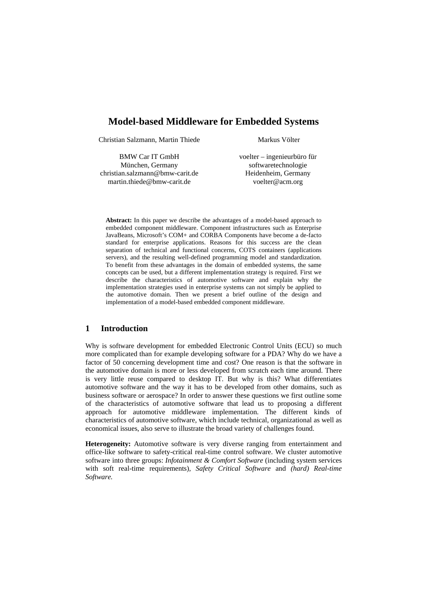# **Model-based Middleware for Embedded Systems**

Christian Salzmann, Martin Thiede

Markus Völter

BMW Car IT GmbH München, Germany christian.salzmann@bmw-carit.de martin.thiede@bmw-carit.de

voelter – ingenieurbüro für softwaretechnologie Heidenheim, Germany voelter@acm.org

**Abstract:** In this paper we describe the advantages of a model-based approach to embedded component middleware. Component infrastructures such as Enterprise JavaBeans, Microsoft's COM+ and CORBA Components have become a de-facto standard for enterprise applications. Reasons for this success are the clean separation of technical and functional concerns, COTS containers (applications servers), and the resulting well-defined programming model and standardization. To benefit from these advantages in the domain of embedded systems, the same concepts can be used, but a different implementation strategy is required. First we describe the characteristics of automotive software and explain why the implementation strategies used in enterprise systems can not simply be applied to the automotive domain. Then we present a brief outline of the design and implementation of a model-based embedded component middleware.

## **1 Introduction**

Why is software development for embedded Electronic Control Units (ECU) so much more complicated than for example developing software for a PDA? Why do we have a factor of 50 concerning development time and cost? One reason is that the software in the automotive domain is more or less developed from scratch each time around. There is very little reuse compared to desktop IT. But why is this? What differentiates automotive software and the way it has to be developed from other domains, such as business software or aerospace? In order to answer these questions we first outline some of the characteristics of automotive software that lead us to proposing a different approach for automotive middleware implementation. The different kinds of characteristics of automotive software, which include technical, organizational as well as economical issues, also serve to illustrate the broad variety of challenges found.

**Heterogeneity:** Automotive software is very diverse ranging from entertainment and office-like software to safety-critical real-time control software. We cluster automotive software into three groups: *Infotainment & Comfort Software* (including system services with soft real-time requirements)*, Safety Critical Software* and *(hard) Real-time Software.*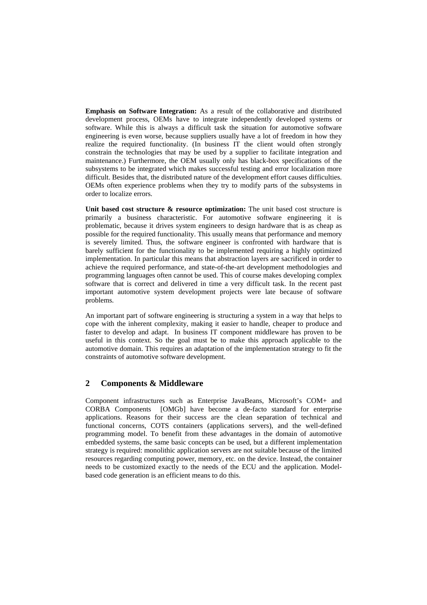**Emphasis on Software Integration:** As a result of the collaborative and distributed development process, OEMs have to integrate independently developed systems or software. While this is always a difficult task the situation for automotive software engineering is even worse, because suppliers usually have a lot of freedom in how they realize the required functionality. (In business IT the client would often strongly constrain the technologies that may be used by a supplier to facilitate integration and maintenance.) Furthermore, the OEM usually only has black-box specifications of the subsystems to be integrated which makes successful testing and error localization more difficult. Besides that, the distributed nature of the development effort causes difficulties. OEMs often experience problems when they try to modify parts of the subsystems in order to localize errors.

Unit based cost structure & resource optimization: The unit based cost structure is primarily a business characteristic. For automotive software engineering it is problematic, because it drives system engineers to design hardware that is as cheap as possible for the required functionality. This usually means that performance and memory is severely limited. Thus, the software engineer is confronted with hardware that is barely sufficient for the functionality to be implemented requiring a highly optimized implementation. In particular this means that abstraction layers are sacrificed in order to achieve the required performance, and state-of-the-art development methodologies and programming languages often cannot be used. This of course makes developing complex software that is correct and delivered in time a very difficult task. In the recent past important automotive system development projects were late because of software problems.

An important part of software engineering is structuring a system in a way that helps to cope with the inherent complexity, making it easier to handle, cheaper to produce and faster to develop and adapt. In business IT component middleware has proven to be useful in this context. So the goal must be to make this approach applicable to the automotive domain. This requires an adaptation of the implementation strategy to fit the constraints of automotive software development.

## **2 Components & Middleware**

Component infrastructures such as Enterprise JavaBeans, Microsoft's COM+ and CORBA Components [OMGb] have become a de-facto standard for enterprise applications. Reasons for their success are the clean separation of technical and functional concerns, COTS containers (applications servers), and the well-defined programming model. To benefit from these advantages in the domain of automotive embedded systems, the same basic concepts can be used, but a different implementation strategy is required: monolithic application servers are not suitable because of the limited resources regarding computing power, memory, etc. on the device. Instead, the container needs to be customized exactly to the needs of the ECU and the application. Modelbased code generation is an efficient means to do this.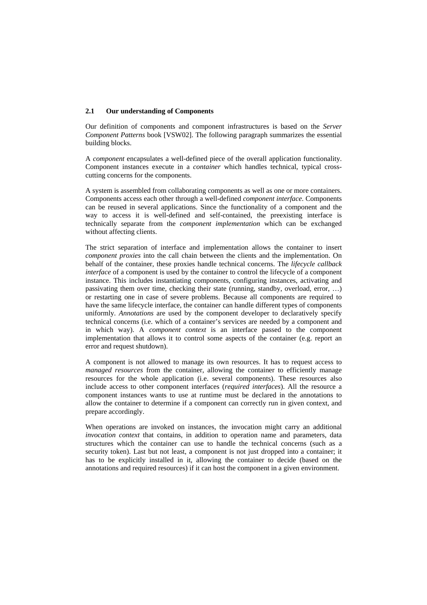#### **2.1 Our understanding of Components**

Our definition of components and component infrastructures is based on the *Server Component Patterns* book [VSW02]. The following paragraph summarizes the essential building blocks.

A *component* encapsulates a well-defined piece of the overall application functionality. Component instances execute in a *container* which handles technical, typical crosscutting concerns for the components.

A system is assembled from collaborating components as well as one or more containers. Components access each other through a well-defined *component interface*. Components can be reused in several applications. Since the functionality of a component and the way to access it is well-defined and self-contained, the preexisting interface is technically separate from the *component implementation* which can be exchanged without affecting clients.

The strict separation of interface and implementation allows the container to insert *component proxies* into the call chain between the clients and the implementation. On behalf of the container, these proxies handle technical concerns. The *lifecycle callback interface* of a component is used by the container to control the lifecycle of a component instance. This includes instantiating components, configuring instances, activating and passivating them over time, checking their state (running, standby, overload, error, …) or restarting one in case of severe problems. Because all components are required to have the same lifecycle interface, the container can handle different types of components uniformly. *Annotations* are used by the component developer to declaratively specify technical concerns (i.e. which of a container's services are needed by a component and in which way). A *component context* is an interface passed to the component implementation that allows it to control some aspects of the container (e.g. report an error and request shutdown).

A component is not allowed to manage its own resources. It has to request access to *managed resources* from the container, allowing the container to efficiently manage resources for the whole application (i.e. several components). These resources also include access to other component interfaces (*required interfaces*). All the resource a component instances wants to use at runtime must be declared in the annotations to allow the container to determine if a component can correctly run in given context, and prepare accordingly.

When operations are invoked on instances, the invocation might carry an additional *invocation context* that contains, in addition to operation name and parameters, data structures which the container can use to handle the technical concerns (such as a security token). Last but not least, a component is not just dropped into a container; it has to be explicitly installed in it, allowing the container to decide (based on the annotations and required resources) if it can host the component in a given environment.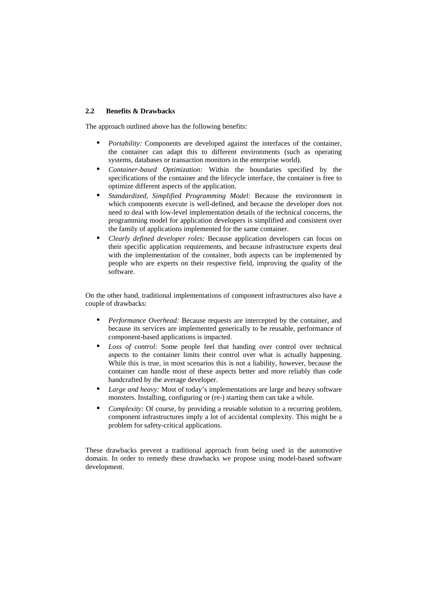### **2.2 Benefits & Drawbacks**

The approach outlined above has the following benefits:

- **•** *Portability:* Components are developed against the interfaces of the container, the container can adapt this to different environments (such as operating systems, databases or transaction monitors in the enterprise world).
- **•** *Container-based Optimization:* Within the boundaries specified by the specifications of the container and the lifecycle interface, the container is free to optimize different aspects of the application.
- **•** *Standardized, Simplified Programming Model:* Because the environment in which components execute is well-defined, and because the developer does not need to deal with low-level implementation details of the technical concerns, the programming model for application developers is simplified and consistent over the family of applications implemented for the same container.
- **•** *Clearly defined developer roles:* Because application developers can focus on their specific application requirements, and because infrastructure experts deal with the implementation of the container, both aspects can be implemented by people who are experts on their respective field, improving the quality of the software.

On the other hand, traditional implementations of component infrastructures also have a couple of drawbacks:

- **•** *Performance Overhead:* Because requests are intercepted by the container, and because its services are implemented generically to be reusable, performance of component-based applications is impacted.
- **•** *Loss of control:* Some people feel that handing over control over technical aspects to the container limits their control over what is actually happening. While this is true, in most scenarios this is not a liability, however, because the container can handle most of these aspects better and more reliably than code handcrafted by the average developer.
- **•** *Large and heavy:* Most of today's implementations are large and heavy software monsters. Installing, configuring or (re-) starting them can take a while.
- **•** *Complexity:* Of course, by providing a reusable solution to a recurring problem, component infrastructures imply a lot of accidental complexity. This might be a problem for safety-critical applications.

These drawbacks prevent a traditional approach from being used in the automotive domain. In order to remedy these drawbacks we propose using model-based software development.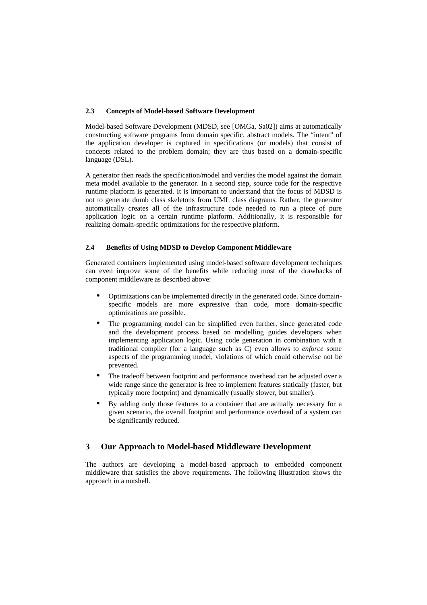### **2.3 Concepts of Model-based Software Development**

Model-based Software Development (MDSD, see [OMGa, Sa02]) aims at automatically constructing software programs from domain specific, abstract models. The "intent" of the application developer is captured in specifications (or models) that consist of concepts related to the problem domain; they are thus based on a domain-specific language (DSL).

A generator then reads the specification/model and verifies the model against the domain meta model available to the generator. In a second step, source code for the respective runtime platform is generated. It is important to understand that the focus of MDSD is not to generate dumb class skeletons from UML class diagrams. Rather, the generator automatically creates all of the infrastructure code needed to run a piece of pure application logic on a certain runtime platform. Additionally, it is responsible for realizing domain-specific optimizations for the respective platform.

## **2.4 Benefits of Using MDSD to Develop Component Middleware**

Generated containers implemented using model-based software development techniques can even improve some of the benefits while reducing most of the drawbacks of component middleware as described above:

- **•** Optimizations can be implemented directly in the generated code. Since domainspecific models are more expressive than code, more domain-specific optimizations are possible.
- **•** The programming model can be simplified even further, since generated code and the development process based on modelling guides developers when implementing application logic. Using code generation in combination with a traditional compiler (for a language such as C) even allows to *enforce* some aspects of the programming model, violations of which could otherwise not be prevented.
- **•** The tradeoff between footprint and performance overhead can be adjusted over a wide range since the generator is free to implement features statically (faster, but typically more footprint) and dynamically (usually slower, but smaller).
- **•** By adding only those features to a container that are actually necessary for a given scenario, the overall footprint and performance overhead of a system can be significantly reduced.

## **3 Our Approach to Model-based Middleware Development**

The authors are developing a model-based approach to embedded component middleware that satisfies the above requirements. The following illustration shows the approach in a nutshell.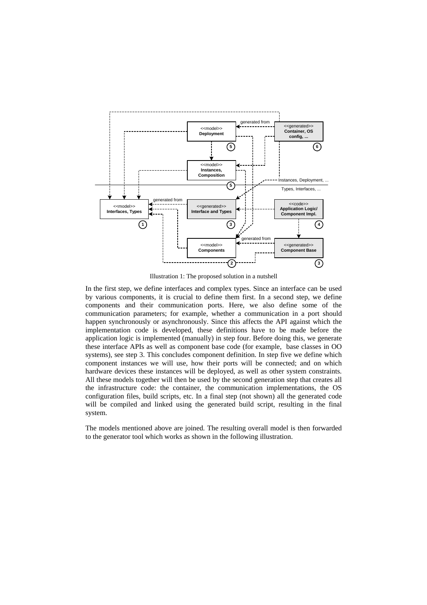

Illustration 1: The proposed solution in a nutshell

In the first step, we define interfaces and complex types. Since an interface can be used by various components, it is crucial to define them first. In a second step, we define components and their communication ports. Here, we also define some of the communication parameters; for example, whether a communication in a port should happen synchronously or asynchronously. Since this affects the API against which the implementation code is developed, these definitions have to be made before the application logic is implemented (manually) in step four. Before doing this, we generate these interface APIs as well as component base code (for example, base classes in OO systems), see step 3. This concludes component definition. In step five we define which component instances we will use, how their ports will be connected; and on which hardware devices these instances will be deployed, as well as other system constraints. All these models together will then be used by the second generation step that creates all the infrastructure code: the container, the communication implementations, the OS configuration files, build scripts, etc. In a final step (not shown) all the generated code will be compiled and linked using the generated build script, resulting in the final system.

The models mentioned above are joined. The resulting overall model is then forwarded to the generator tool which works as shown in the following illustration.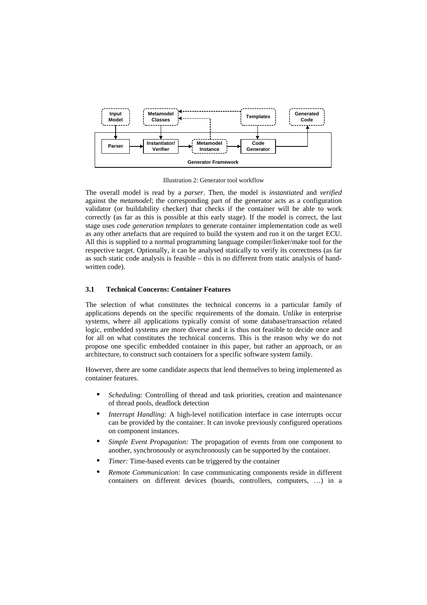

Illustration 2: Generator tool workflow

The overall model is read by a *parser*. Then, the model is *instantiated* and *verified*  against the *metamodel*; the corresponding part of the generator acts as a configuration validator (or buildability checker) that checks if the container will be able to work correctly (as far as this is possible at this early stage). If the model is correct, the last stage uses *code generation templates* to generate container implementation code as well as any other artefacts that are required to build the system and run it on the target ECU. All this is supplied to a normal programming language compiler/linker/make tool for the respective target. Optionally, it can be analysed statically to verify its correctness (as far as such static code analysis is feasible – this is no different from static analysis of handwritten code).

#### **3.1 Technical Concerns: Container Features**

The selection of what constitutes the technical concerns in a particular family of applications depends on the specific requirements of the domain. Unlike in enterprise systems, where all applications typically consist of some database/transaction related logic, embedded systems are more diverse and it is thus not feasible to decide once and for all on what constitutes the technical concerns. This is the reason why we do not propose one specific embedded container in this paper, but rather an approach, or an architecture, to construct such containers for a specific software system family.

However, there are some candidate aspects that lend themselves to being implemented as container features.

- **•** *Scheduling:* Controlling of thread and task priorities, creation and maintenance of thread pools, deadlock detection
- **•** *Interrupt Handling:* A high-level notification interface in case interrupts occur can be provided by the container. It can invoke previously configured operations on component instances.
- **•** *Simple Event Propagation:* The propagation of events from one component to another, synchronously or asynchronously can be supported by the container.
- **•** *Timer:* Time-based events can be triggered by the container
- **•** *Remote Communication:* In case communicating components reside in different containers on different devices (boards, controllers, computers, …) in a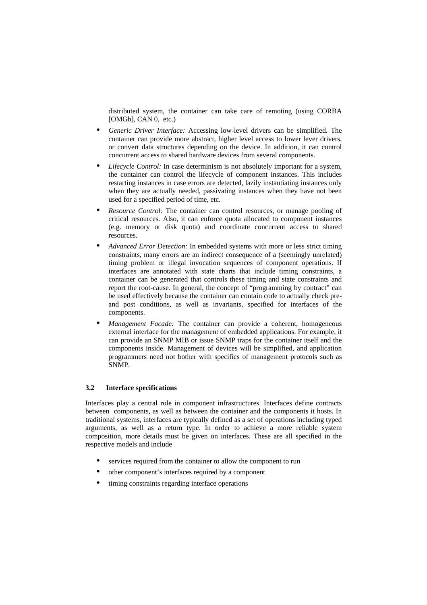distributed system, the container can take care of remoting (using CORBA [OMGb], CAN 0, etc.)

- **•** *Generic Driver Interface:* Accessing low-level drivers can be simplified. The container can provide more abstract, higher level access to lower lever drivers, or convert data structures depending on the device. In addition, it can control concurrent access to shared hardware devices from several components.
- **•** *Lifecycle Control:* In case determinism is not absolutely important for a system, the container can control the lifecycle of component instances. This includes restarting instances in case errors are detected, lazily instantiating instances only when they are actually needed, passivating instances when they have not been used for a specified period of time, etc.
- **•** *Resource Control:* The container can control resources, or manage pooling of critical resources. Also, it can enforce quota allocated to component instances (e.g. memory or disk quota) and coordinate concurrent access to shared resources.
- **•** *Advanced Error Detection:* In embedded systems with more or less strict timing constraints, many errors are an indirect consequence of a (seemingly unrelated) timing problem or illegal invocation sequences of component operations. If interfaces are annotated with state charts that include timing constraints, a container can be generated that controls these timing and state constraints and report the root-cause. In general, the concept of "programming by contract" can be used effectively because the container can contain code to actually check preand post conditions, as well as invariants, specified for interfaces of the components.
- **•** *Management Facade:* The container can provide a coherent, homogeneous external interface for the management of embedded applications. For example, it can provide an SNMP MIB or issue SNMP traps for the container itself and the components inside. Management of devices will be simplified, and application programmers need not bother with specifics of management protocols such as SNMP.

#### **3.2 Interface specifications**

Interfaces play a central role in component infrastructures. Interfaces define contracts between components, as well as between the container and the components it hosts. In traditional systems, interfaces are typically defined as a set of operations including typed arguments, as well as a return type. In order to achieve a more reliable system composition, more details must be given on interfaces. These are all specified in the respective models and include

- **•** services required from the container to allow the component to run
- **•** other component's interfaces required by a component
- **•** timing constraints regarding interface operations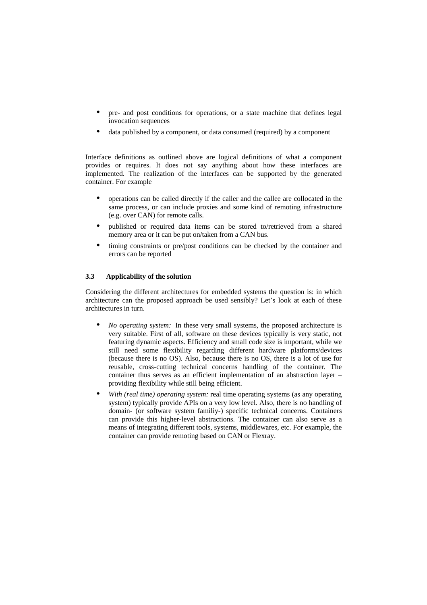- **•** pre- and post conditions for operations, or a state machine that defines legal invocation sequences
- **•** data published by a component, or data consumed (required) by a component

Interface definitions as outlined above are logical definitions of what a component provides or requires. It does not say anything about how these interfaces are implemented. The realization of the interfaces can be supported by the generated container. For example

- **•** operations can be called directly if the caller and the callee are collocated in the same process, or can include proxies and some kind of remoting infrastructure (e.g. over CAN) for remote calls.
- **•** published or required data items can be stored to/retrieved from a shared memory area or it can be put on/taken from a CAN bus.
- timing constraints or pre/post conditions can be checked by the container and errors can be reported

## **3.3 Applicability of the solution**

Considering the different architectures for embedded systems the question is: in which architecture can the proposed approach be used sensibly? Let's look at each of these architectures in turn.

- **•** *No operating system:* In these very small systems, the proposed architecture is very suitable. First of all, software on these devices typically is very static, not featuring dynamic aspects. Efficiency and small code size is important, while we still need some flexibility regarding different hardware platforms/devices (because there is no OS). Also, because there is no OS, there is a lot of use for reusable, cross-cutting technical concerns handling of the container. The container thus serves as an efficient implementation of an abstraction layer – providing flexibility while still being efficient.
- **•** *With (real time) operating system:* real time operating systems (as any operating system) typically provide APIs on a very low level. Also, there is no handling of domain- (or software system familiy-) specific technical concerns. Containers can provide this higher-level abstractions. The container can also serve as a means of integrating different tools, systems, middlewares, etc. For example, the container can provide remoting based on CAN or Flexray.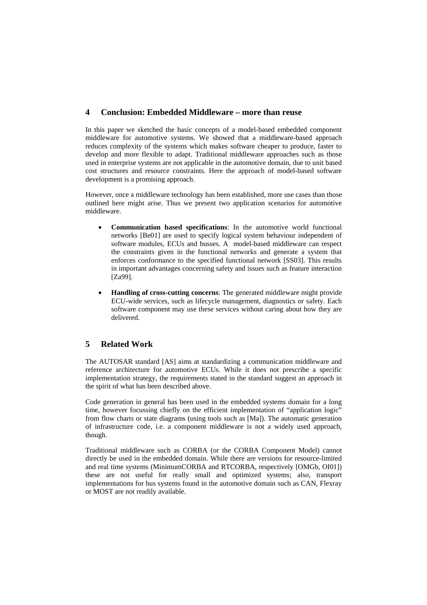## **4 Conclusion: Embedded Middleware – more than reuse**

In this paper we sketched the basic concepts of a model-based embedded component middleware for automotive systems. We showed that a middleware-based approach reduces complexity of the systems which makes software cheaper to produce, faster to develop and more flexible to adapt. Traditional middleware approaches such as those used in enterprise systems are not applicable in the automotive domain, due to unit based cost structures and resource constraints. Here the approach of model-based software development is a promising approach.

However, once a middleware technology has been established, more use cases than those outlined here might arise. Thus we present two application scenarios for automotive middleware.

- **Communication based specifications**: In the automotive world functional networks [Be01] are used to specify logical system behaviour independent of software modules, ECUs and busses. A model-based middleware can respect the constraints given in the functional networks and generate a system that enforces conformance to the specified functional network [SS03]. This results in important advantages concerning safety and issues such as feature interaction [Za99].
- **Handling of cross-cutting concerns**: The generated middleware might provide ECU-wide services, such as lifecycle management, diagnostics or safety. Each software component may use these services without caring about how they are delivered.

## **5 Related Work**

The AUTOSAR standard [AS] aims at standardizing a communication middleware and reference architecture for automotive ECUs. While it does not prescribe a specific implementation strategy, the requirements stated in the standard suggest an approach in the spirit of what has been described above.

Code generation in general has been used in the embedded systems domain for a long time, however focussing chiefly on the efficient implementation of "application logic" from flow charts or state diagrams (using tools such as [Ma]). The automatic generation of infrastructure code, i.e. a component middleware is not a widely used approach, though.

Traditional middleware such as CORBA (or the CORBA Component Model) cannot directly be used in the embedded domain. While there are versions for resource-limited and real time systems (MinimumCORBA and RTCORBA, respectively [OMGb, OI01]) these are not useful for really small and optimized systems; also, transport implementations for bus systems found in the automotive domain such as CAN, Flexray or MOST are not readily available.